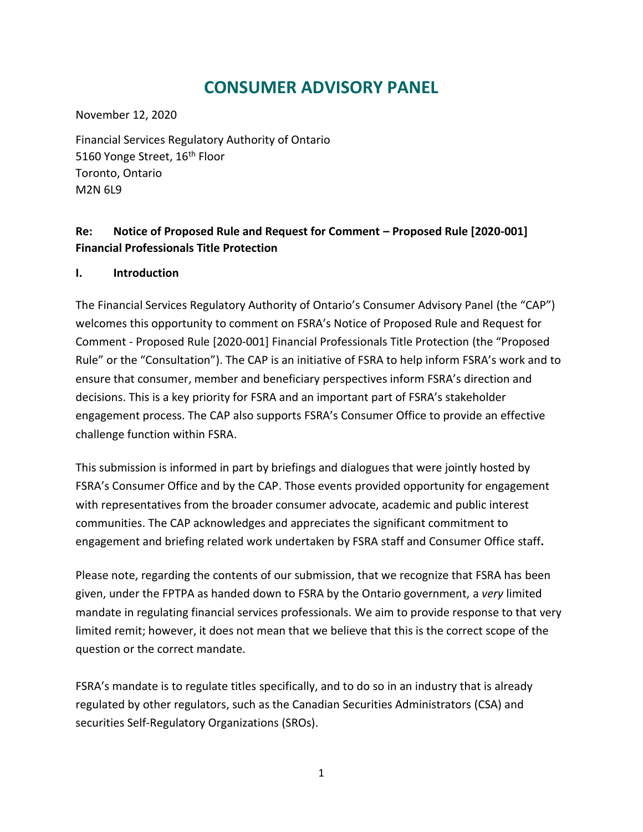# **CONSUMER ADVISORY PANEL**

November 12, 2020

Financial Services Regulatory Authority of Ontario 5160 Yonge Street, 16<sup>th</sup> Floor Toronto, Ontario M2N 6L9

# **Re: Notice of Proposed Rule and Request for Comment – Proposed Rule [2020-001] Financial Professionals Title Protection**

# **I. Introduction**

The Financial Services Regulatory Authority of Ontario's Consumer Advisory Panel (the "CAP") welcomes this opportunity to comment on FSRA's Notice of Proposed Rule and Request for Comment - Proposed Rule [2020-001] Financial Professionals Title Protection (the "Proposed Rule" or the "Consultation"). The CAP is an initiative of FSRA to help inform FSRA's work and to ensure that consumer, member and beneficiary perspectives inform FSRA's direction and decisions. This is a key priority for FSRA and an important part of FSRA's stakeholder engagement process. The CAP also supports FSRA's Consumer Office to provide an effective challenge function within FSRA.

This submission is informed in part by briefings and dialogues that were jointly hosted by FSRA's Consumer Office and by the CAP. Those events provided opportunity for engagement with representatives from the broader consumer advocate, academic and public interest communities. The CAP acknowledges and appreciates the significant commitment to engagement and briefing related work undertaken by FSRA staff and Consumer Office staff**.** 

Please note, regarding the contents of our submission, that we recognize that FSRA has been given, under the FPTPA as handed down to FSRA by the Ontario government, a *very* limited mandate in regulating financial services professionals. We aim to provide response to that very limited remit; however, it does not mean that we believe that this is the correct scope of the question or the correct mandate.

FSRA's mandate is to regulate titles specifically, and to do so in an industry that is already regulated by other regulators, such as the Canadian Securities Administrators (CSA) and securities Self-Regulatory Organizations (SROs).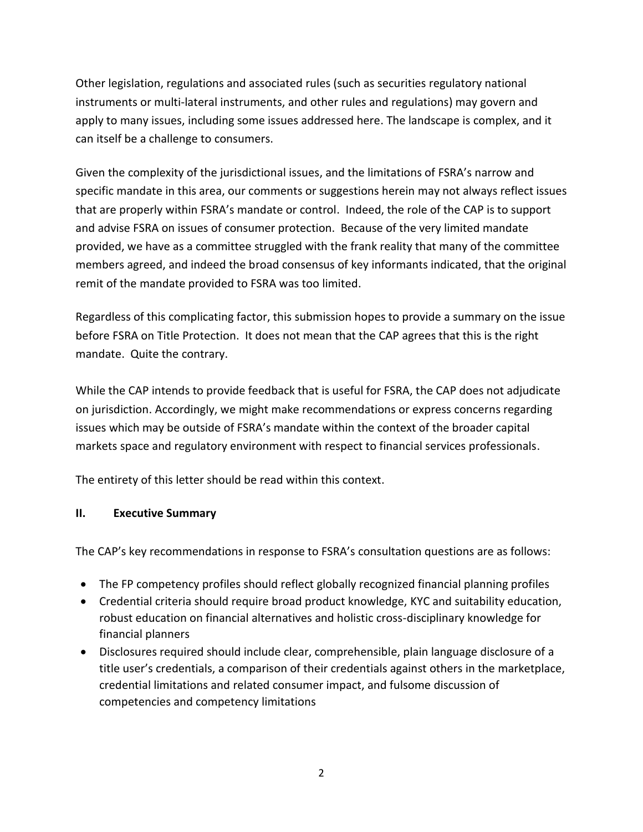Other legislation, regulations and associated rules (such as securities regulatory national instruments or multi-lateral instruments, and other rules and regulations) may govern and apply to many issues, including some issues addressed here. The landscape is complex, and it can itself be a challenge to consumers.

Given the complexity of the jurisdictional issues, and the limitations of FSRA's narrow and specific mandate in this area, our comments or suggestions herein may not always reflect issues that are properly within FSRA's mandate or control. Indeed, the role of the CAP is to support and advise FSRA on issues of consumer protection. Because of the very limited mandate provided, we have as a committee struggled with the frank reality that many of the committee members agreed, and indeed the broad consensus of key informants indicated, that the original remit of the mandate provided to FSRA was too limited.

Regardless of this complicating factor, this submission hopes to provide a summary on the issue before FSRA on Title Protection. It does not mean that the CAP agrees that this is the right mandate. Quite the contrary.

While the CAP intends to provide feedback that is useful for FSRA, the CAP does not adjudicate on jurisdiction. Accordingly, we might make recommendations or express concerns regarding issues which may be outside of FSRA's mandate within the context of the broader capital markets space and regulatory environment with respect to financial services professionals.

The entirety of this letter should be read within this context.

# **II. Executive Summary**

The CAP's key recommendations in response to FSRA's consultation questions are as follows:

- The FP competency profiles should reflect globally recognized financial planning profiles
- Credential criteria should require broad product knowledge, KYC and suitability education, robust education on financial alternatives and holistic cross-disciplinary knowledge for financial planners
- Disclosures required should include clear, comprehensible, plain language disclosure of a title user's credentials, a comparison of their credentials against others in the marketplace, credential limitations and related consumer impact, and fulsome discussion of competencies and competency limitations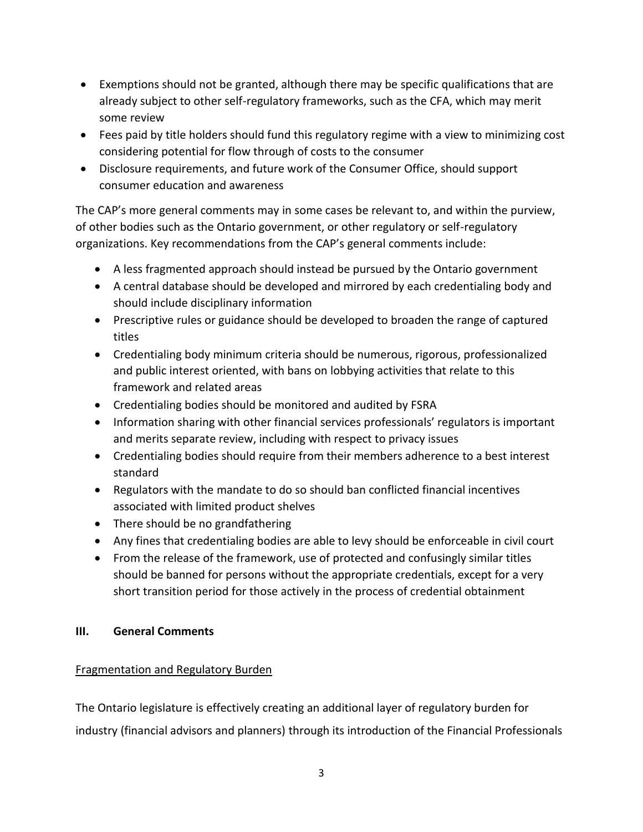- Exemptions should not be granted, although there may be specific qualifications that are already subject to other self-regulatory frameworks, such as the CFA, which may merit some review
- Fees paid by title holders should fund this regulatory regime with a view to minimizing cost considering potential for flow through of costs to the consumer
- Disclosure requirements, and future work of the Consumer Office, should support consumer education and awareness

The CAP's more general comments may in some cases be relevant to, and within the purview, of other bodies such as the Ontario government, or other regulatory or self-regulatory organizations. Key recommendations from the CAP's general comments include:

- A less fragmented approach should instead be pursued by the Ontario government
- A central database should be developed and mirrored by each credentialing body and should include disciplinary information
- Prescriptive rules or guidance should be developed to broaden the range of captured titles
- Credentialing body minimum criteria should be numerous, rigorous, professionalized and public interest oriented, with bans on lobbying activities that relate to this framework and related areas
- Credentialing bodies should be monitored and audited by FSRA
- Information sharing with other financial services professionals' regulators is important and merits separate review, including with respect to privacy issues
- Credentialing bodies should require from their members adherence to a best interest standard
- Regulators with the mandate to do so should ban conflicted financial incentives associated with limited product shelves
- There should be no grandfathering
- Any fines that credentialing bodies are able to levy should be enforceable in civil court
- From the release of the framework, use of protected and confusingly similar titles should be banned for persons without the appropriate credentials, except for a very short transition period for those actively in the process of credential obtainment

# **III. General Comments**

# Fragmentation and Regulatory Burden

The Ontario legislature is effectively creating an additional layer of regulatory burden for industry (financial advisors and planners) through its introduction of the Financial Professionals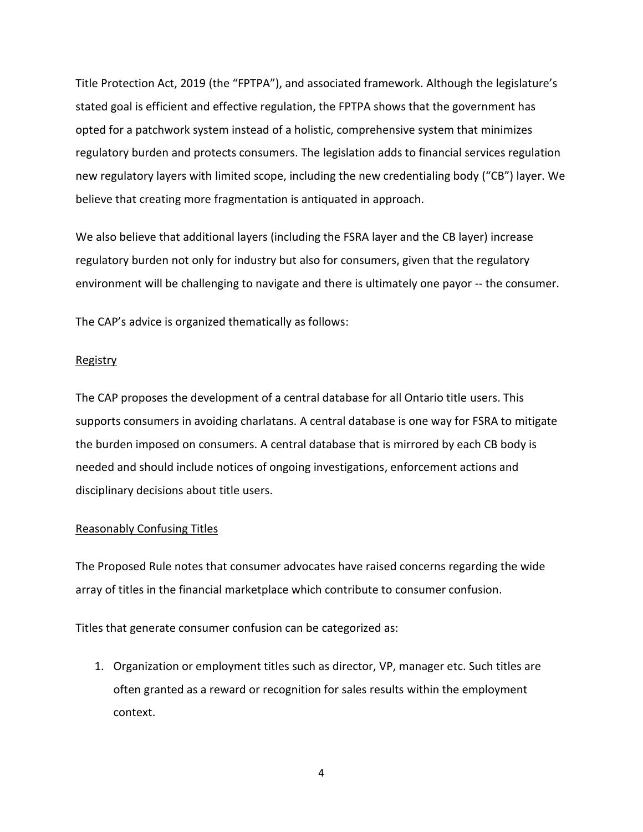Title Protection Act, 2019 (the "FPTPA"), and associated framework. Although the legislature's stated goal is efficient and effective regulation, the FPTPA shows that the government has opted for a patchwork system instead of a holistic, comprehensive system that minimizes regulatory burden and protects consumers. The legislation adds to financial services regulation new regulatory layers with limited scope, including the new credentialing body ("CB") layer. We believe that creating more fragmentation is antiquated in approach.

We also believe that additional layers (including the FSRA layer and the CB layer) increase regulatory burden not only for industry but also for consumers, given that the regulatory environment will be challenging to navigate and there is ultimately one payor -- the consumer.

The CAP's advice is organized thematically as follows:

# **Registry**

The CAP proposes the development of a central database for all Ontario title users. This supports consumers in avoiding charlatans. A central database is one way for FSRA to mitigate the burden imposed on consumers. A central database that is mirrored by each CB body is needed and should include notices of ongoing investigations, enforcement actions and disciplinary decisions about title users.

# Reasonably Confusing Titles

The Proposed Rule notes that consumer advocates have raised concerns regarding the wide array of titles in the financial marketplace which contribute to consumer confusion.

Titles that generate consumer confusion can be categorized as:

1. Organization or employment titles such as director, VP, manager etc. Such titles are often granted as a reward or recognition for sales results within the employment context.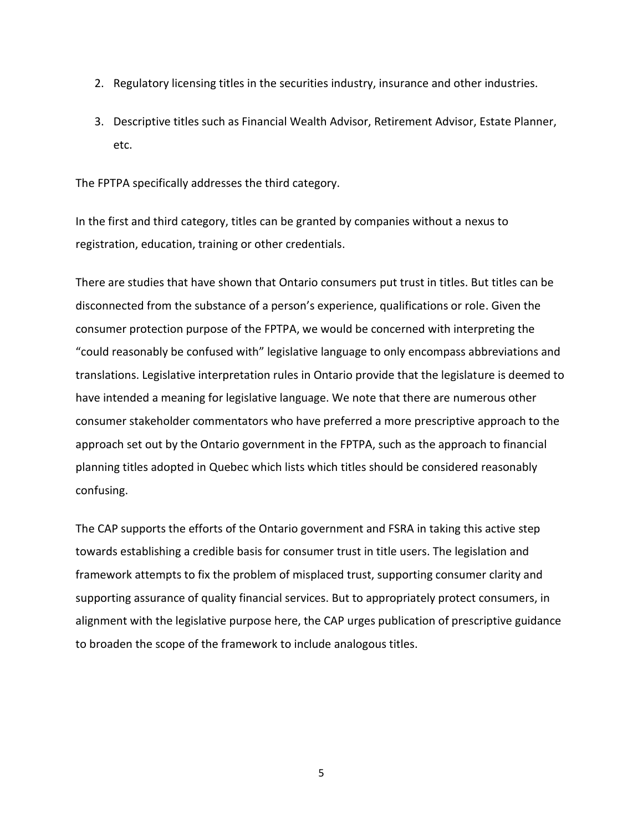- 2. Regulatory licensing titles in the securities industry, insurance and other industries.
- 3. Descriptive titles such as Financial Wealth Advisor, Retirement Advisor, Estate Planner, etc.

The FPTPA specifically addresses the third category.

In the first and third category, titles can be granted by companies without a nexus to registration, education, training or other credentials.

There are studies that have shown that Ontario consumers put trust in titles. But titles can be disconnected from the substance of a person's experience, qualifications or role. Given the consumer protection purpose of the FPTPA, we would be concerned with interpreting the "could reasonably be confused with" legislative language to only encompass abbreviations and translations. Legislative interpretation rules in Ontario provide that the legislature is deemed to have intended a meaning for legislative language. We note that there are numerous other consumer stakeholder commentators who have preferred a more prescriptive approach to the approach set out by the Ontario government in the FPTPA, such as the approach to financial planning titles adopted in Quebec which lists which titles should be considered reasonably confusing.

The CAP supports the efforts of the Ontario government and FSRA in taking this active step towards establishing a credible basis for consumer trust in title users. The legislation and framework attempts to fix the problem of misplaced trust, supporting consumer clarity and supporting assurance of quality financial services. But to appropriately protect consumers, in alignment with the legislative purpose here, the CAP urges publication of prescriptive guidance to broaden the scope of the framework to include analogous titles.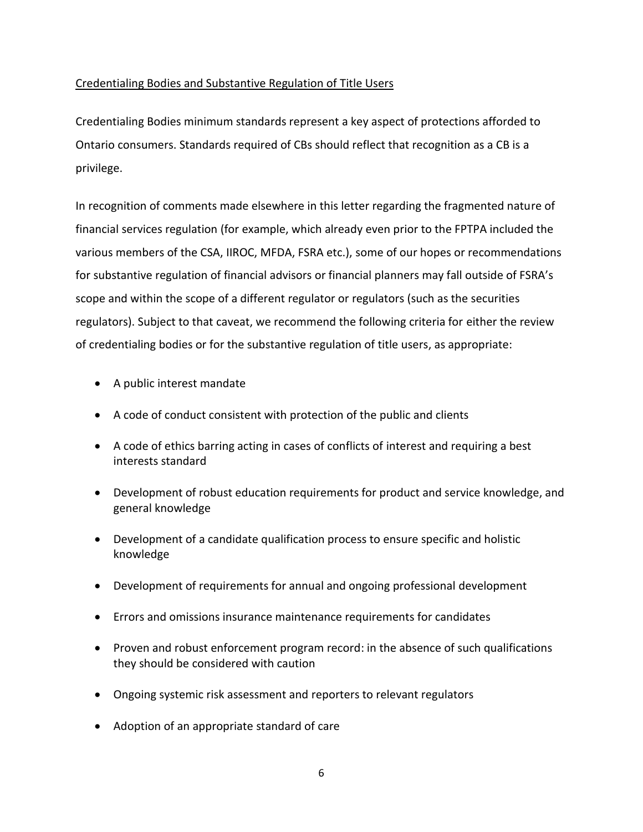# Credentialing Bodies and Substantive Regulation of Title Users

Credentialing Bodies minimum standards represent a key aspect of protections afforded to Ontario consumers. Standards required of CBs should reflect that recognition as a CB is a privilege.

In recognition of comments made elsewhere in this letter regarding the fragmented nature of financial services regulation (for example, which already even prior to the FPTPA included the various members of the CSA, IIROC, MFDA, FSRA etc.), some of our hopes or recommendations for substantive regulation of financial advisors or financial planners may fall outside of FSRA's scope and within the scope of a different regulator or regulators (such as the securities regulators). Subject to that caveat, we recommend the following criteria for either the review of credentialing bodies or for the substantive regulation of title users, as appropriate:

- A public interest mandate
- A code of conduct consistent with protection of the public and clients
- A code of ethics barring acting in cases of conflicts of interest and requiring a best interests standard
- Development of robust education requirements for product and service knowledge, and general knowledge
- Development of a candidate qualification process to ensure specific and holistic knowledge
- Development of requirements for annual and ongoing professional development
- Errors and omissions insurance maintenance requirements for candidates
- Proven and robust enforcement program record: in the absence of such qualifications they should be considered with caution
- Ongoing systemic risk assessment and reporters to relevant regulators
- Adoption of an appropriate standard of care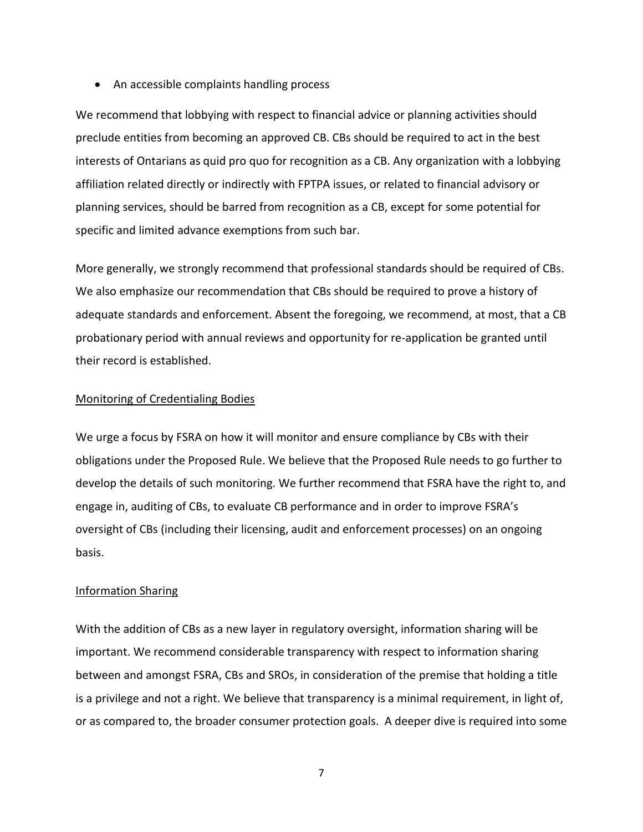• An accessible complaints handling process

We recommend that lobbying with respect to financial advice or planning activities should preclude entities from becoming an approved CB. CBs should be required to act in the best interests of Ontarians as quid pro quo for recognition as a CB. Any organization with a lobbying affiliation related directly or indirectly with FPTPA issues, or related to financial advisory or planning services, should be barred from recognition as a CB, except for some potential for specific and limited advance exemptions from such bar.

More generally, we strongly recommend that professional standards should be required of CBs. We also emphasize our recommendation that CBs should be required to prove a history of adequate standards and enforcement. Absent the foregoing, we recommend, at most, that a CB probationary period with annual reviews and opportunity for re-application be granted until their record is established.

### Monitoring of Credentialing Bodies

We urge a focus by FSRA on how it will monitor and ensure compliance by CBs with their obligations under the Proposed Rule. We believe that the Proposed Rule needs to go further to develop the details of such monitoring. We further recommend that FSRA have the right to, and engage in, auditing of CBs, to evaluate CB performance and in order to improve FSRA's oversight of CBs (including their licensing, audit and enforcement processes) on an ongoing basis.

#### Information Sharing

With the addition of CBs as a new layer in regulatory oversight, information sharing will be important. We recommend considerable transparency with respect to information sharing between and amongst FSRA, CBs and SROs, in consideration of the premise that holding a title is a privilege and not a right. We believe that transparency is a minimal requirement, in light of, or as compared to, the broader consumer protection goals. A deeper dive is required into some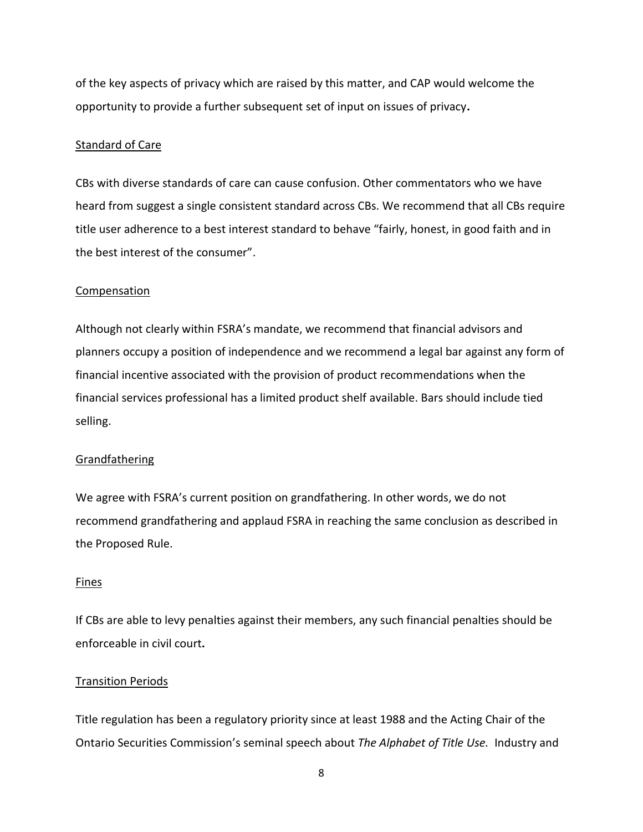of the key aspects of privacy which are raised by this matter, and CAP would welcome the opportunity to provide a further subsequent set of input on issues of privacy**.** 

#### Standard of Care

CBs with diverse standards of care can cause confusion. Other commentators who we have heard from suggest a single consistent standard across CBs. We recommend that all CBs require title user adherence to a best interest standard to behave "fairly, honest, in good faith and in the best interest of the consumer".

#### Compensation

Although not clearly within FSRA's mandate, we recommend that financial advisors and planners occupy a position of independence and we recommend a legal bar against any form of financial incentive associated with the provision of product recommendations when the financial services professional has a limited product shelf available. Bars should include tied selling.

#### Grandfathering

We agree with FSRA's current position on grandfathering. In other words, we do not recommend grandfathering and applaud FSRA in reaching the same conclusion as described in the Proposed Rule.

#### Fines

If CBs are able to levy penalties against their members, any such financial penalties should be enforceable in civil court**.** 

#### Transition Periods

Title regulation has been a regulatory priority since at least 1988 and the Acting Chair of the Ontario Securities Commission's seminal speech about *The Alphabet of Title Use.* Industry and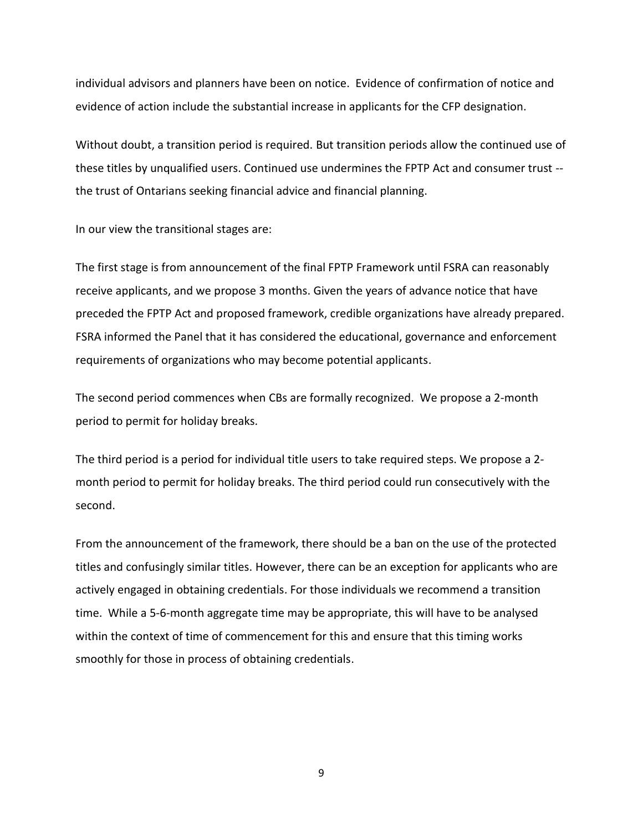individual advisors and planners have been on notice. Evidence of confirmation of notice and evidence of action include the substantial increase in applicants for the CFP designation.

Without doubt, a transition period is required. But transition periods allow the continued use of these titles by unqualified users. Continued use undermines the FPTP Act and consumer trust - the trust of Ontarians seeking financial advice and financial planning.

In our view the transitional stages are:

The first stage is from announcement of the final FPTP Framework until FSRA can reasonably receive applicants, and we propose 3 months. Given the years of advance notice that have preceded the FPTP Act and proposed framework, credible organizations have already prepared. FSRA informed the Panel that it has considered the educational, governance and enforcement requirements of organizations who may become potential applicants.

The second period commences when CBs are formally recognized. We propose a 2-month period to permit for holiday breaks.

The third period is a period for individual title users to take required steps. We propose a 2 month period to permit for holiday breaks. The third period could run consecutively with the second.

From the announcement of the framework, there should be a ban on the use of the protected titles and confusingly similar titles. However, there can be an exception for applicants who are actively engaged in obtaining credentials. For those individuals we recommend a transition time. While a 5-6-month aggregate time may be appropriate, this will have to be analysed within the context of time of commencement for this and ensure that this timing works smoothly for those in process of obtaining credentials.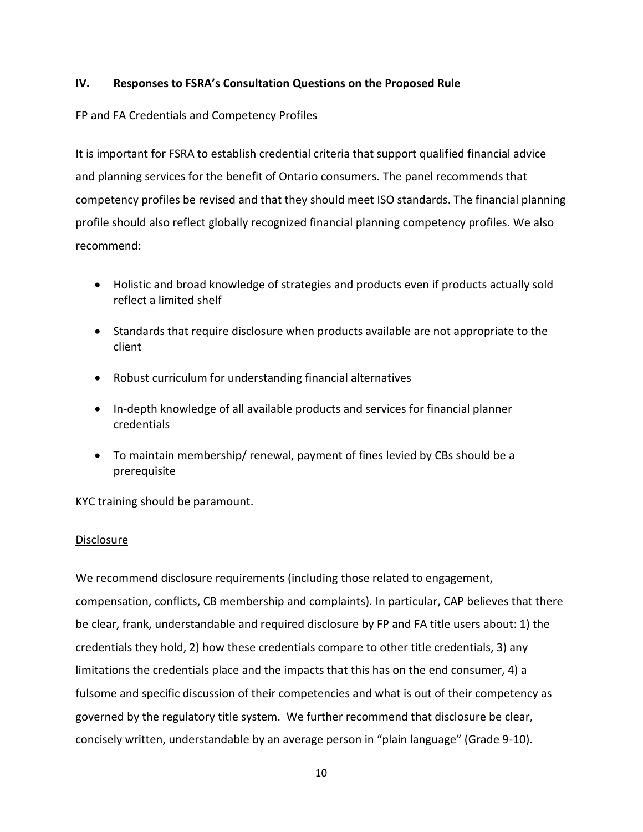# **IV. Responses to FSRA's Consultation Questions on the Proposed Rule**

# FP and FA Credentials and Competency Profiles

It is important for FSRA to establish credential criteria that support qualified financial advice and planning services for the benefit of Ontario consumers. The panel recommends that competency profiles be revised and that they should meet ISO standards. The financial planning profile should also reflect globally recognized financial planning competency profiles. We also recommend:

- Holistic and broad knowledge of strategies and products even if products actually sold reflect a limited shelf
- Standards that require disclosure when products available are not appropriate to the client
- Robust curriculum for understanding financial alternatives
- In-depth knowledge of all available products and services for financial planner credentials
- To maintain membership/ renewal, payment of fines levied by CBs should be a prerequisite

KYC training should be paramount.

# Disclosure

We recommend disclosure requirements (including those related to engagement, compensation, conflicts, CB membership and complaints). In particular, CAP believes that there be clear, frank, understandable and required disclosure by FP and FA title users about: 1) the credentials they hold, 2) how these credentials compare to other title credentials, 3) any limitations the credentials place and the impacts that this has on the end consumer, 4) a fulsome and specific discussion of their competencies and what is out of their competency as governed by the regulatory title system. We further recommend that disclosure be clear, concisely written, understandable by an average person in "plain language" (Grade 9-10).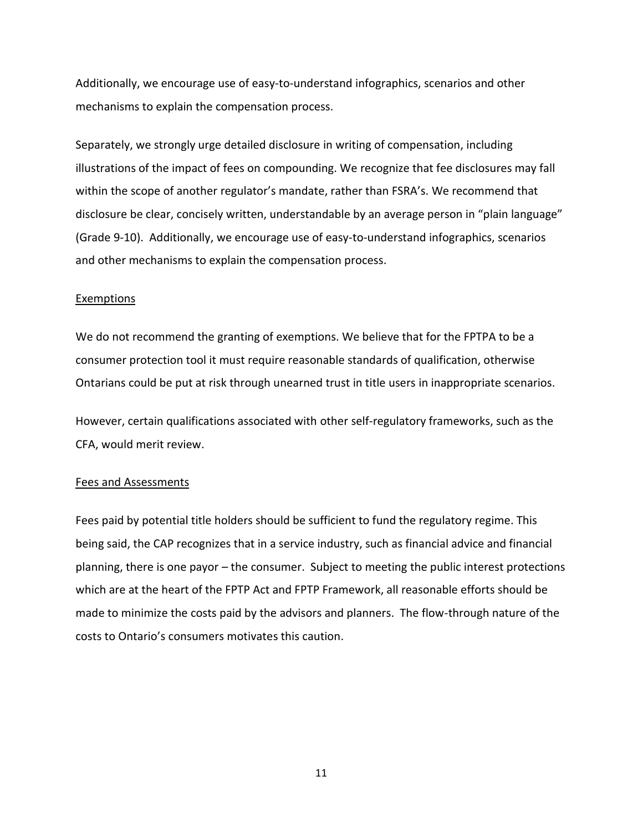Additionally, we encourage use of easy-to-understand infographics, scenarios and other mechanisms to explain the compensation process.

Separately, we strongly urge detailed disclosure in writing of compensation, including illustrations of the impact of fees on compounding. We recognize that fee disclosures may fall within the scope of another regulator's mandate, rather than FSRA's. We recommend that disclosure be clear, concisely written, understandable by an average person in "plain language" (Grade 9-10). Additionally, we encourage use of easy-to-understand infographics, scenarios and other mechanisms to explain the compensation process.

#### Exemptions

We do not recommend the granting of exemptions. We believe that for the FPTPA to be a consumer protection tool it must require reasonable standards of qualification, otherwise Ontarians could be put at risk through unearned trust in title users in inappropriate scenarios.

However, certain qualifications associated with other self-regulatory frameworks, such as the CFA, would merit review.

#### Fees and Assessments

Fees paid by potential title holders should be sufficient to fund the regulatory regime. This being said, the CAP recognizes that in a service industry, such as financial advice and financial planning, there is one payor – the consumer. Subject to meeting the public interest protections which are at the heart of the FPTP Act and FPTP Framework, all reasonable efforts should be made to minimize the costs paid by the advisors and planners. The flow-through nature of the costs to Ontario's consumers motivates this caution.